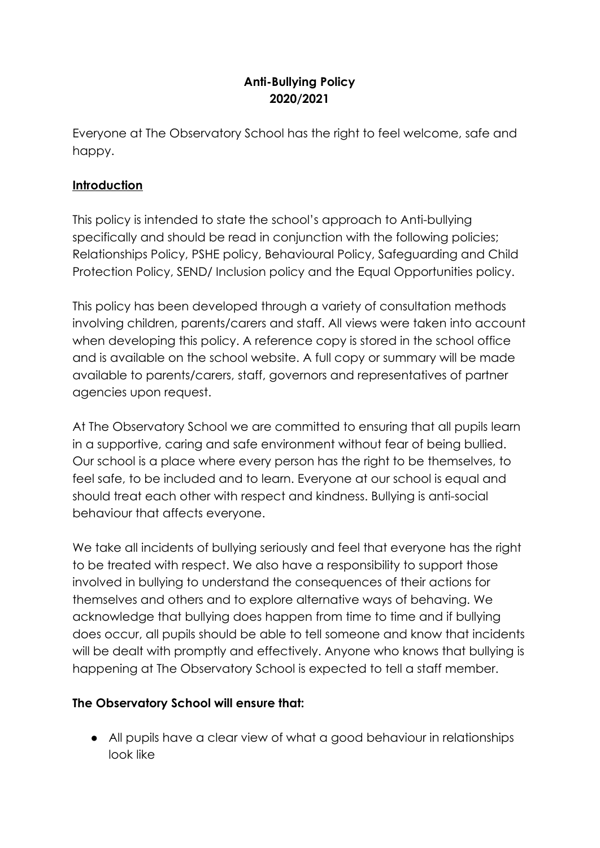# **Anti-Bullying Policy 2020/2021**

Everyone at The Observatory School has the right to feel welcome, safe and happy.

### **Introduction**

This policy is intended to state the school's approach to Anti-bullying specifically and should be read in conjunction with the following policies; Relationships Policy, PSHE policy, Behavioural Policy, Safeguarding and Child Protection Policy, SEND/ Inclusion policy and the Equal Opportunities policy.

This policy has been developed through a variety of consultation methods involving children, parents/carers and staff. All views were taken into account when developing this policy. A reference copy is stored in the school office and is available on the school website. A full copy or summary will be made available to parents/carers, staff, governors and representatives of partner agencies upon request.

At The Observatory School we are committed to ensuring that all pupils learn in a supportive, caring and safe environment without fear of being bullied. Our school is a place where every person has the right to be themselves, to feel safe, to be included and to learn. Everyone at our school is equal and should treat each other with respect and kindness. Bullying is anti-social behaviour that affects everyone.

We take all incidents of bullying seriously and feel that everyone has the right to be treated with respect. We also have a responsibility to support those involved in bullying to understand the consequences of their actions for themselves and others and to explore alternative ways of behaving. We acknowledge that bullying does happen from time to time and if bullying does occur, all pupils should be able to tell someone and know that incidents will be dealt with promptly and effectively. Anyone who knows that bullying is happening at The Observatory School is expected to tell a staff member.

### **The Observatory School will ensure that:**

● All pupils have a clear view of what a good behaviour in relationships look like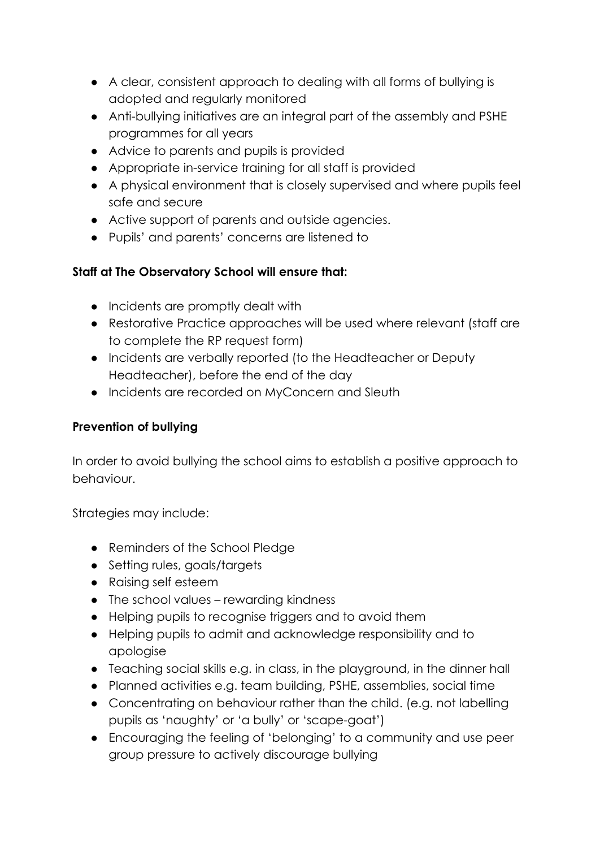- A clear, consistent approach to dealing with all forms of bullying is adopted and regularly monitored
- Anti-bullying initiatives are an integral part of the assembly and PSHE programmes for all years
- Advice to parents and pupils is provided
- Appropriate in-service training for all staff is provided
- A physical environment that is closely supervised and where pupils feel safe and secure
- Active support of parents and outside agencies.
- Pupils' and parents' concerns are listened to

# **Staff at The Observatory School will ensure that:**

- Incidents are promptly dealt with
- Restorative Practice approaches will be used where relevant (staff are to complete the RP request form)
- Incidents are verbally reported (to the Headteacher or Deputy Headteacher), before the end of the day
- Incidents are recorded on MyConcern and Sleuth

## **Prevention of bullying**

In order to avoid bullying the school aims to establish a positive approach to behaviour.

Strategies may include:

- Reminders of the School Pledge
- Setting rules, goals/targets
- Raising self esteem
- The school values rewarding kindness
- Helping pupils to recognise triggers and to avoid them
- Helping pupils to admit and acknowledge responsibility and to apologise
- Teaching social skills e.g. in class, in the playground, in the dinner hall
- Planned activities e.g. team building, PSHE, assemblies, social time
- Concentrating on behaviour rather than the child. (e.g. not labelling pupils as 'naughty' or 'a bully' or 'scape-goat')
- Encouraging the feeling of 'belonging' to a community and use peer group pressure to actively discourage bullying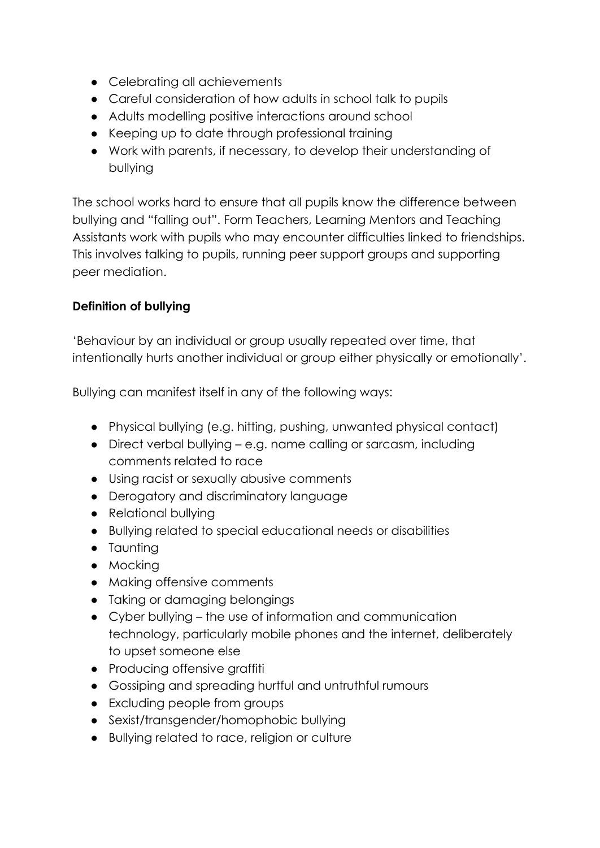- Celebrating all achievements
- Careful consideration of how adults in school talk to pupils
- Adults modelling positive interactions around school
- Keeping up to date through professional training
- Work with parents, if necessary, to develop their understanding of bullying

The school works hard to ensure that all pupils know the difference between bullying and "falling out". Form Teachers, Learning Mentors and Teaching Assistants work with pupils who may encounter difficulties linked to friendships. This involves talking to pupils, running peer support groups and supporting peer mediation.

### **Definition of bullying**

'Behaviour by an individual or group usually repeated over time, that intentionally hurts another individual or group either physically or emotionally'.

Bullying can manifest itself in any of the following ways:

- Physical bullying (e.g. hitting, pushing, unwanted physical contact)
- Direct verbal bullying e.g. name calling or sarcasm, including comments related to race
- Using racist or sexually abusive comments
- Derogatory and discriminatory language
- Relational bullying
- Bullying related to special educational needs or disabilities
- Taunting
- Mocking
- Making offensive comments
- Taking or damaging belongings
- Cyber bullying the use of information and communication technology, particularly mobile phones and the internet, deliberately to upset someone else
- Producing offensive graffiti
- Gossiping and spreading hurtful and untruthful rumours
- Excluding people from groups
- Sexist/transgender/homophobic bullying
- Bullying related to race, religion or culture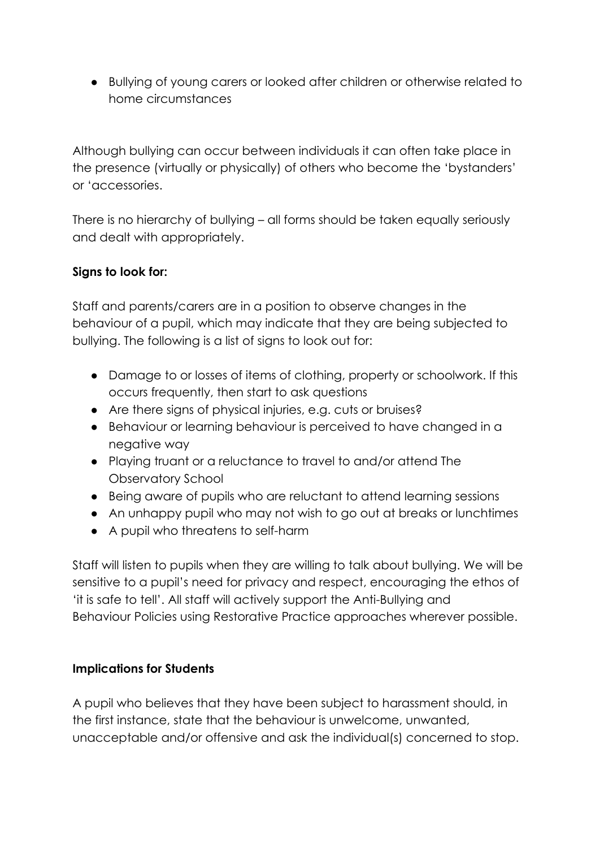● Bullying of young carers or looked after children or otherwise related to home circumstances

Although bullying can occur between individuals it can often take place in the presence (virtually or physically) of others who become the 'bystanders' or 'accessories.

There is no hierarchy of bullying – all forms should be taken equally seriously and dealt with appropriately.

### **Signs to look for:**

Staff and parents/carers are in a position to observe changes in the behaviour of a pupil, which may indicate that they are being subjected to bullying. The following is a list of signs to look out for:

- Damage to or losses of items of clothing, property or schoolwork. If this occurs frequently, then start to ask questions
- Are there signs of physical injuries, e.g. cuts or bruises?
- Behaviour or learning behaviour is perceived to have changed in a negative way
- Playing truant or a reluctance to travel to and/or attend The Observatory School
- Being aware of pupils who are reluctant to attend learning sessions
- An unhappy pupil who may not wish to go out at breaks or lunchtimes
- A pupil who threatens to self-harm

Staff will listen to pupils when they are willing to talk about bullying. We will be sensitive to a pupil's need for privacy and respect, encouraging the ethos of 'it is safe to tell'. All staff will actively support the Anti-Bullying and Behaviour Policies using Restorative Practice approaches wherever possible.

### **Implications for Students**

A pupil who believes that they have been subject to harassment should, in the first instance, state that the behaviour is unwelcome, unwanted, unacceptable and/or offensive and ask the individual(s) concerned to stop.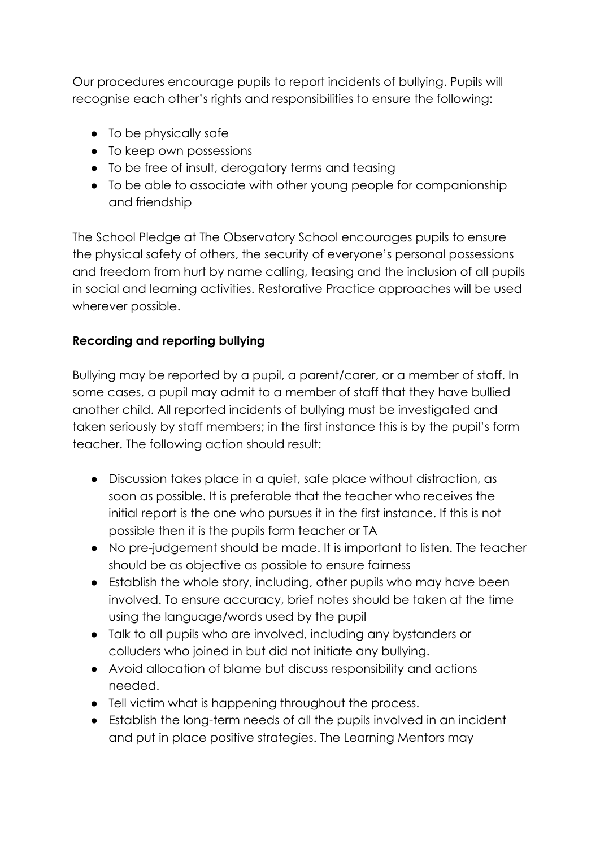Our procedures encourage pupils to report incidents of bullying. Pupils will recognise each other's rights and responsibilities to ensure the following:

- To be physically safe
- To keep own possessions
- To be free of insult, derogatory terms and teasing
- To be able to associate with other young people for companionship and friendship

The School Pledge at The Observatory School encourages pupils to ensure the physical safety of others, the security of everyone's personal possessions and freedom from hurt by name calling, teasing and the inclusion of all pupils in social and learning activities. Restorative Practice approaches will be used wherever possible.

### **Recording and reporting bullying**

Bullying may be reported by a pupil, a parent/carer, or a member of staff. In some cases, a pupil may admit to a member of staff that they have bullied another child. All reported incidents of bullying must be investigated and taken seriously by staff members; in the first instance this is by the pupil's form teacher. The following action should result:

- Discussion takes place in a quiet, safe place without distraction, as soon as possible. It is preferable that the teacher who receives the initial report is the one who pursues it in the first instance. If this is not possible then it is the pupils form teacher or TA
- No pre-judgement should be made. It is important to listen. The teacher should be as objective as possible to ensure fairness
- Establish the whole story, including, other pupils who may have been involved. To ensure accuracy, brief notes should be taken at the time using the language/words used by the pupil
- Talk to all pupils who are involved, including any bystanders or colluders who joined in but did not initiate any bullying.
- Avoid allocation of blame but discuss responsibility and actions needed.
- Tell victim what is happening throughout the process.
- Establish the long-term needs of all the pupils involved in an incident and put in place positive strategies. The Learning Mentors may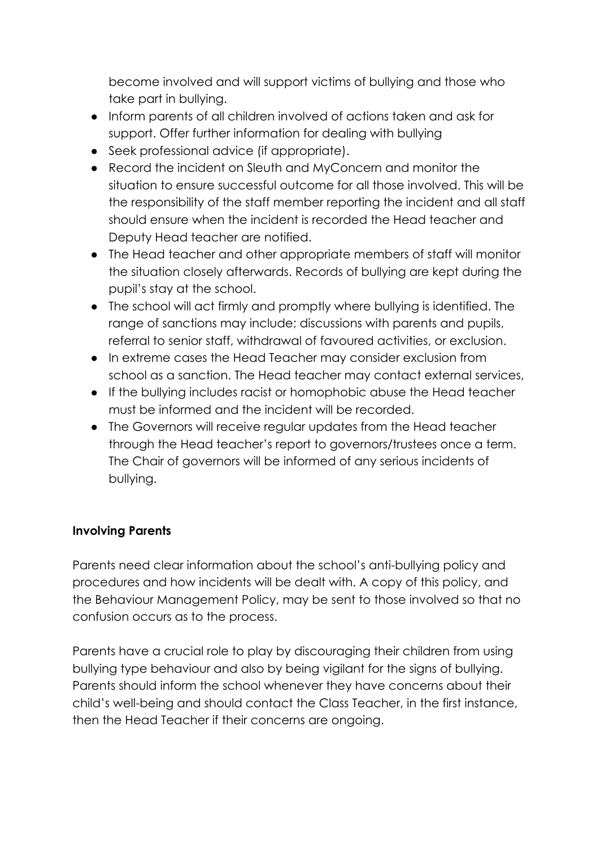become involved and will support victims of bullying and those who take part in bullying.

- Inform parents of all children involved of actions taken and ask for support. Offer further information for dealing with bullying
- Seek professional advice (if appropriate).
- Record the incident on Sleuth and MyConcern and monitor the situation to ensure successful outcome for all those involved. This will be the responsibility of the staff member reporting the incident and all staff should ensure when the incident is recorded the Head teacher and Deputy Head teacher are notified.
- The Head teacher and other appropriate members of staff will monitor the situation closely afterwards. Records of bullying are kept during the pupil's stay at the school.
- The school will act firmly and promptly where bullying is identified. The range of sanctions may include; discussions with parents and pupils, referral to senior staff, withdrawal of favoured activities, or exclusion.
- In extreme cases the Head Teacher may consider exclusion from school as a sanction. The Head teacher may contact external services,
- If the bullying includes racist or homophobic abuse the Head teacher must be informed and the incident will be recorded.
- The Governors will receive regular updates from the Head teacher through the Head teacher's report to governors/trustees once a term. The Chair of governors will be informed of any serious incidents of bullying.

### **Involving Parents**

Parents need clear information about the school's anti-bullying policy and procedures and how incidents will be dealt with. A copy of this policy, and the Behaviour Management Policy, may be sent to those involved so that no confusion occurs as to the process.

Parents have a crucial role to play by discouraging their children from using bullying type behaviour and also by being vigilant for the signs of bullying. Parents should inform the school whenever they have concerns about their child's well-being and should contact the Class Teacher, in the first instance, then the Head Teacher if their concerns are ongoing.